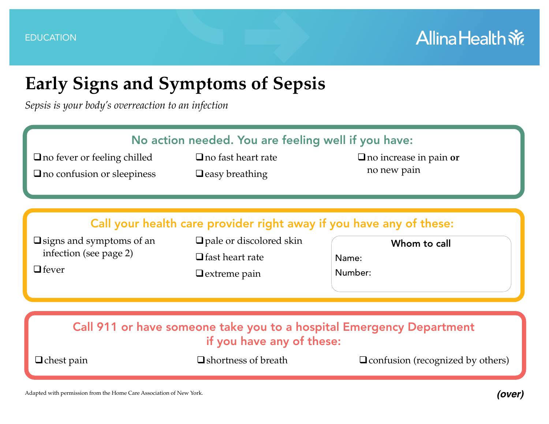#### **Allina Health**  $\tilde{m}$

#### **Early Signs and Symptoms of Sepsis**

*Sepsis is your body's overreaction to an infection*

| No action needed. You are feeling well if you have:                                               |                                                                                                                                                        |                                         |
|---------------------------------------------------------------------------------------------------|--------------------------------------------------------------------------------------------------------------------------------------------------------|-----------------------------------------|
| $\Box$ no fever or feeling chilled                                                                | $\Box$ no fast heart rate                                                                                                                              | $\Box$ no increase in pain or           |
| $\Box$ no confusion or sleepiness                                                                 | $\Box$ easy breathing                                                                                                                                  | no new pain                             |
| $\Box$ signs and symptoms of an<br>infection (see page 2)<br>$\Box$ fever                         | Call your health care provider right away if you have any of these:<br>$\Box$ pale or discolored skin<br>$\Box$ fast heart rate<br>$\Box$ extreme pain | Whom to call<br>Name:<br>Number:        |
| Call 911 or have someone take you to a hospital Emergency Department<br>if you have any of these: |                                                                                                                                                        |                                         |
| $\Box$ chest pain                                                                                 | $\Box$ shortness of breath                                                                                                                             | $\Box$ confusion (recognized by others) |